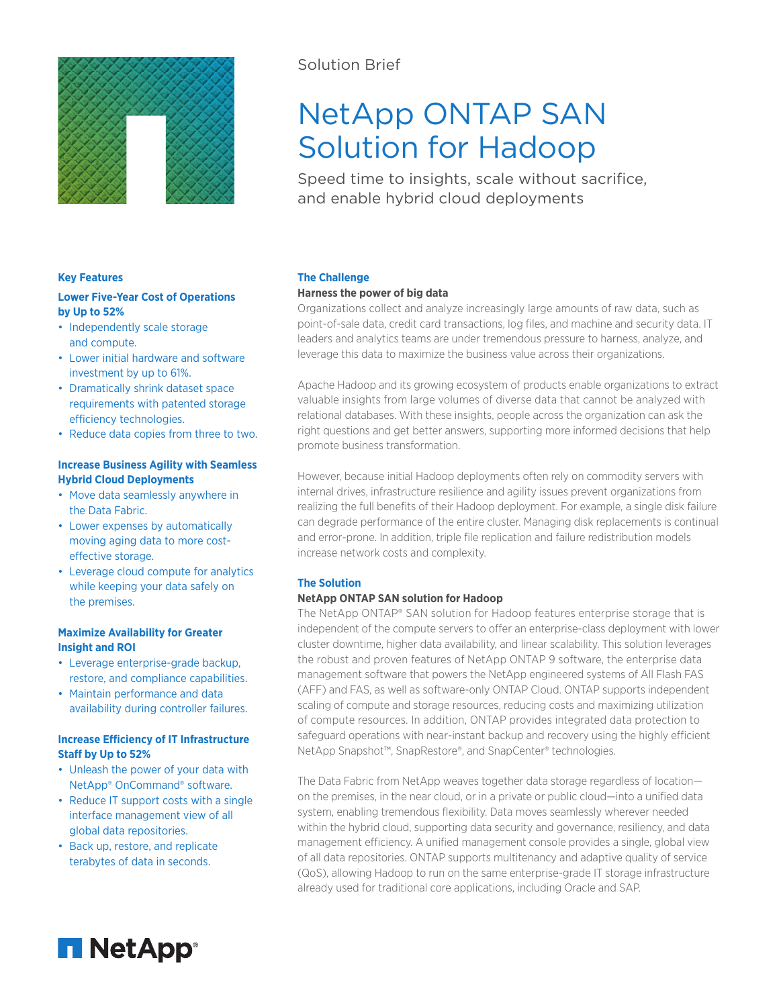

## Solution Brief

# NetApp ONTAP SAN Solution for Hadoop

Speed time to insights, scale without sacrifice, and enable hybrid cloud deployments

## **Key Features**

## **Lower Five-Year Cost of Operations by Up to 52%**

- Independently scale storage and compute.
- Lower initial hardware and software investment by up to 61%.
- Dramatically shrink dataset space requirements with patented storage efficiency technologies.
- Reduce data copies from three to two.

## **Increase Business Agility with Seamless Hybrid Cloud Deployments**

- Move data seamlessly anywhere in the Data Fabric.
- Lower expenses by automatically moving aging data to more costeffective storage.
- Leverage cloud compute for analytics while keeping your data safely on the premises.

## **Maximize Availability for Greater Insight and ROI**

- Leverage enterprise-grade backup, restore, and compliance capabilities.
- Maintain performance and data availability during controller failures.

## **Increase Efficiency of IT Infrastructure Staff by Up to 52%**

- Unleash the power of your data with NetApp® OnCommand® software.
- Reduce IT support costs with a single interface management view of all global data repositories.
- Back up, restore, and replicate terabytes of data in seconds.

## **The Challenge**

## **Harness the power of big data**

Organizations collect and analyze increasingly large amounts of raw data, such as point-of-sale data, credit card transactions, log files, and machine and security data. IT leaders and analytics teams are under tremendous pressure to harness, analyze, and leverage this data to maximize the business value across their organizations.

Apache Hadoop and its growing ecosystem of products enable organizations to extract valuable insights from large volumes of diverse data that cannot be analyzed with relational databases. With these insights, people across the organization can ask the right questions and get better answers, supporting more informed decisions that help promote business transformation.

However, because initial Hadoop deployments often rely on commodity servers with internal drives, infrastructure resilience and agility issues prevent organizations from realizing the full benefits of their Hadoop deployment. For example, a single disk failure can degrade performance of the entire cluster. Managing disk replacements is continual and error-prone. In addition, triple file replication and failure redistribution models increase network costs and complexity.

## **The Solution**

## **NetApp ONTAP SAN solution for Hadoop**

The NetApp ONTAP® SAN solution for Hadoop features enterprise storage that is independent of the compute servers to offer an enterprise-class deployment with lower cluster downtime, higher data availability, and linear scalability. This solution leverages the robust and proven features of NetApp ONTAP 9 software, the enterprise data management software that powers the NetApp engineered systems of All Flash FAS (AFF) and FAS, as well as software-only ONTAP Cloud. ONTAP supports independent scaling of compute and storage resources, reducing costs and maximizing utilization of compute resources. In addition, ONTAP provides integrated data protection to safeguard operations with near-instant backup and recovery using the highly efficient NetApp Snapshot™, SnapRestore®, and SnapCenter® technologies.

The Data Fabric from NetApp weaves together data storage regardless of location on the premises, in the near cloud, or in a private or public cloud—into a unified data system, enabling tremendous flexibility. Data moves seamlessly wherever needed within the hybrid cloud, supporting data security and governance, resiliency, and data management efficiency. A unified management console provides a single, global view of all data repositories. ONTAP supports multitenancy and adaptive quality of service (QoS), allowing Hadoop to run on the same enterprise-grade IT storage infrastructure already used for traditional core applications, including Oracle and SAP.

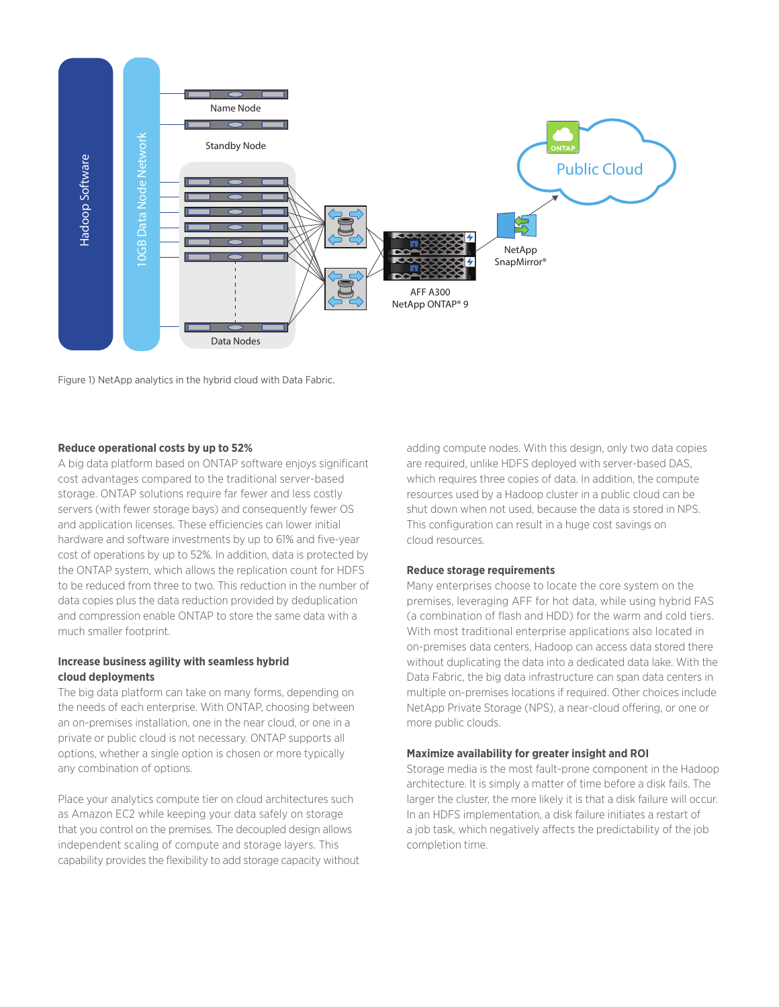

Figure 1) NetApp analytics in the hybrid cloud with Data Fabric.

## **Reduce operational costs by up to 52%**

A big data platform based on ONTAP software enjoys significant cost advantages compared to the traditional server-based storage. ONTAP solutions require far fewer and less costly servers (with fewer storage bays) and consequently fewer OS and application licenses. These efficiencies can lower initial hardware and software investments by up to 61% and five-year cost of operations by up to 52%. In addition, data is protected by the ONTAP system, which allows the replication count for HDFS to be reduced from three to two. This reduction in the number of data copies plus the data reduction provided by deduplication and compression enable ONTAP to store the same data with a much smaller footprint.

## **Increase business agility with seamless hybrid cloud deployments**

The big data platform can take on many forms, depending on the needs of each enterprise. With ONTAP, choosing between an on-premises installation, one in the near cloud, or one in a private or public cloud is not necessary. ONTAP supports all options, whether a single option is chosen or more typically any combination of options.

Place your analytics compute tier on cloud architectures such as Amazon EC2 while keeping your data safely on storage that you control on the premises. The decoupled design allows independent scaling of compute and storage layers. This capability provides the flexibility to add storage capacity without

adding compute nodes. With this design, only two data copies are required, unlike HDFS deployed with server-based DAS, which requires three copies of data. In addition, the compute resources used by a Hadoop cluster in a public cloud can be shut down when not used, because the data is stored in NPS. This configuration can result in a huge cost savings on cloud resources.

## **Reduce storage requirements**

Many enterprises choose to locate the core system on the premises, leveraging AFF for hot data, while using hybrid FAS (a combination of flash and HDD) for the warm and cold tiers. With most traditional enterprise applications also located in on-premises data centers, Hadoop can access data stored there without duplicating the data into a dedicated data lake. With the Data Fabric, the big data infrastructure can span data centers in multiple on-premises locations if required. Other choices include NetApp Private Storage (NPS), a near-cloud offering, or one or more public clouds.

## **Maximize availability for greater insight and ROI**

Storage media is the most fault-prone component in the Hadoop architecture. It is simply a matter of time before a disk fails. The larger the cluster, the more likely it is that a disk failure will occur. In an HDFS implementation, a disk failure initiates a restart of a job task, which negatively affects the predictability of the job completion time.